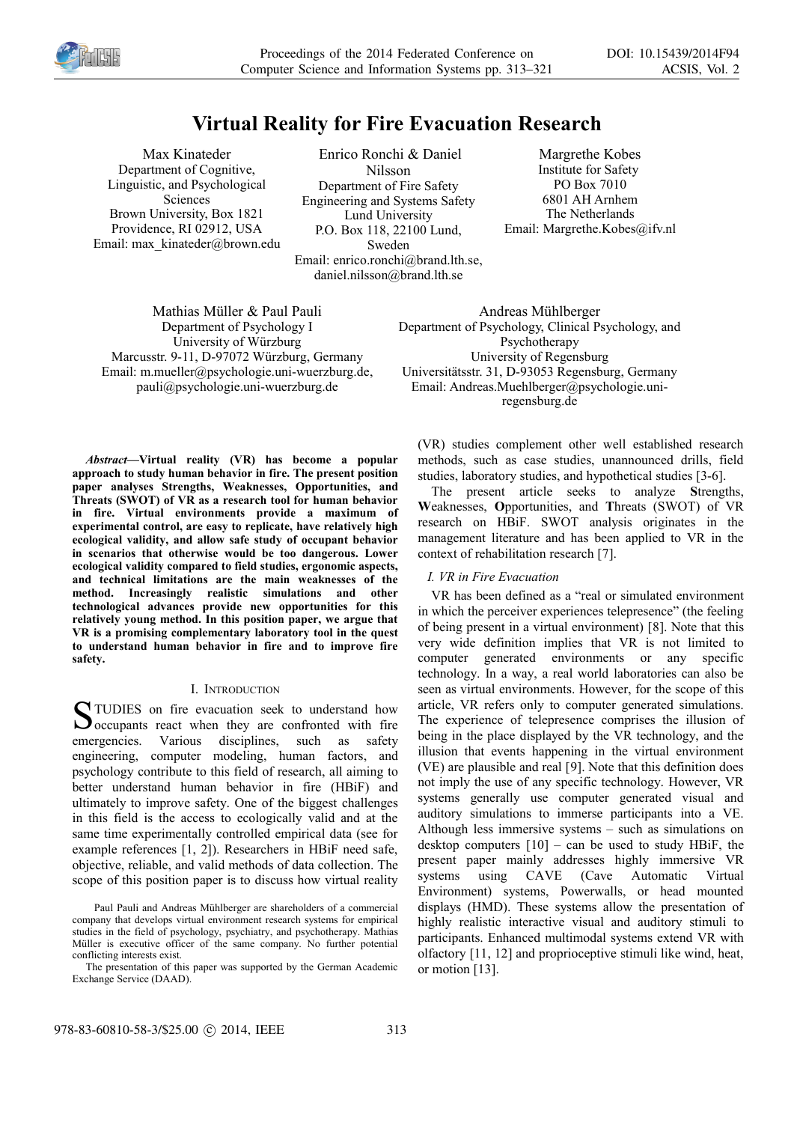

# **Virtual Reality for Fire Evacuation Research**

Max Kinateder Department of Cognitive, Linguistic, and Psychological **Sciences** Brown University, Box 1821 Providence, RI 02912, USA Email: max\_kinateder@brown.edu

 Enrico Ronchi & Daniel Nilsson Department of Fire Safety Engineering and Systems Safety Lund University P.O. Box 118, 22100 Lund, Sweden Email: enrico.ronchi@brand.lth.se, daniel.nilsson@brand.lth.se

Margrethe Kobes Institute for Safety PO Box 7010 6801 AH Arnhem The Netherlands Email: Margrethe.Kobes@ifv.nl

Mathias Müller & Paul Pauli Department of Psychology I University of Würzburg Marcusstr. 9-11, D-97072 Würzburg, Germany Email: m.mueller@psychologie.uni-wuerzburg.de, pauli@psychologie.uni-wuerzburg.de

Andreas Mühlberger Department of Psychology, Clinical Psychology, and Psychotherapy University of Regensburg Universitätsstr. 31, D-93053 Regensburg, Germany Email: Andreas.Muehlberger@psychologie.uniregensburg.de

*Abstract—***Virtual reality (VR) has become a popular approach to study human behavior in fire. The present position paper analyses Strengths, Weaknesses, Opportunities, and Threats (SWOT) of VR as a research tool for human behavior in fire. Virtual environments provide a maximum of experimental control, are easy to replicate, have relatively high ecological validity, and allow safe study of occupant behavior in scenarios that otherwise would be too dangerous. Lower ecological validity compared to field studies, ergonomic aspects, and technical limitations are the main weaknesses of the method. Increasingly realistic simulations and other technological advances provide new opportunities for this relatively young method. In this position paper, we argue that VR is a promising complementary laboratory tool in the quest to understand human behavior in fire and to improve fire safety.**

# I. INTRODUCTION

TUDIES on fire evacuation seek to understand how STUDIES on fire evacuation seek to understand how occupants react when they are confronted with fire emergencies. Various disciplines, such as safety engineering, computer modeling, human factors, and psychology contribute to this field of research, all aiming to better understand human behavior in fire (HBiF) and ultimately to improve safety. One of the biggest challenges in this field is the access to ecologically valid and at the same time experimentally controlled empirical data (see for example references [1, 2]). Researchers in HBiF need safe, objective, reliable, and valid methods of data collection. The scope of this position paper is to discuss how virtual reality (VR) studies complement other well established research methods, such as case studies, unannounced drills, field studies, laboratory studies, and hypothetical studies [3-6].

The present article seeks to analyze **S**trengths, **W**eaknesses, **O**pportunities, and **T**hreats (SWOT) of VR research on HBiF. SWOT analysis originates in the management literature and has been applied to VR in the context of rehabilitation research [7].

# *I. VR in Fire Evacuation*

VR has been defined as a "real or simulated environment in which the perceiver experiences telepresence" (the feeling of being present in a virtual environment) [8]. Note that this very wide definition implies that VR is not limited to computer generated environments or any specific technology. In a way, a real world laboratories can also be seen as virtual environments. However, for the scope of this article, VR refers only to computer generated simulations. The experience of telepresence comprises the illusion of being in the place displayed by the VR technology, and the illusion that events happening in the virtual environment (VE) are plausible and real [9]. Note that this definition does not imply the use of any specific technology. However, VR systems generally use computer generated visual and auditory simulations to immerse participants into a VE. Although less immersive systems – such as simulations on desktop computers  $[10]$  – can be used to study HBiF, the present paper mainly addresses highly immersive VR systems using CAVE (Cave Automatic Virtual Environment) systems, Powerwalls, or head mounted displays (HMD). These systems allow the presentation of highly realistic interactive visual and auditory stimuli to participants. Enhanced multimodal systems extend VR with olfactory [11, 12] and proprioceptive stimuli like wind, heat, or motion [13].

Paul Pauli and Andreas Mühlberger are shareholders of a commercial company that develops virtual environment research systems for empirical studies in the field of psychology, psychiatry, and psychotherapy. Mathias Müller is executive officer of the same company. No further potential conflicting interests exist.

The presentation of this paper was supported by the German Academic Exchange Service (DAAD).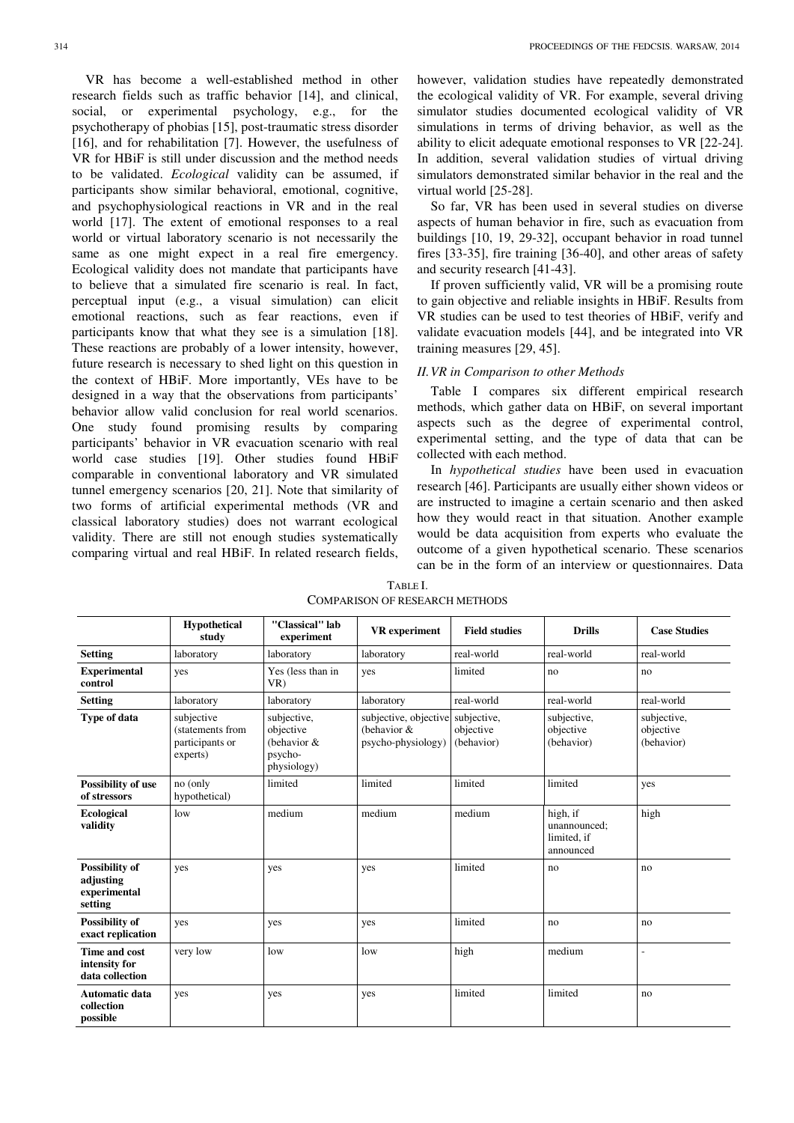VR has become a well-established method in other research fields such as traffic behavior [14], and clinical, social, or experimental psychology, e.g., for the psychotherapy of phobias [15], post-traumatic stress disorder [16], and for rehabilitation [7]. However, the usefulness of VR for HBiF is still under discussion and the method needs to be validated. *Ecological* validity can be assumed, if participants show similar behavioral, emotional, cognitive, and psychophysiological reactions in VR and in the real world [17]. The extent of emotional responses to a real world or virtual laboratory scenario is not necessarily the same as one might expect in a real fire emergency. Ecological validity does not mandate that participants have to believe that a simulated fire scenario is real. In fact, perceptual input (e.g., a visual simulation) can elicit emotional reactions, such as fear reactions, even if participants know that what they see is a simulation [18]. These reactions are probably of a lower intensity, however, future research is necessary to shed light on this question in the context of HBiF. More importantly, VEs have to be designed in a way that the observations from participants' behavior allow valid conclusion for real world scenarios. One study found promising results by comparing participants' behavior in VR evacuation scenario with real world case studies [19]. Other studies found HBiF comparable in conventional laboratory and VR simulated tunnel emergency scenarios [20, 21]. Note that similarity of two forms of artificial experimental methods (VR and classical laboratory studies) does not warrant ecological validity. There are still not enough studies systematically comparing virtual and real HBiF. In related research fields, however, validation studies have repeatedly demonstrated the ecological validity of VR. For example, several driving simulator studies documented ecological validity of VR simulations in terms of driving behavior, as well as the ability to elicit adequate emotional responses to VR [22-24]. In addition, several validation studies of virtual driving simulators demonstrated similar behavior in the real and the virtual world [25-28].

So far, VR has been used in several studies on diverse aspects of human behavior in fire, such as evacuation from buildings [10, 19, 29-32], occupant behavior in road tunnel fires [33-35], fire training [36-40], and other areas of safety and security research [41-43].

If proven sufficiently valid, VR will be a promising route to gain objective and reliable insights in HBiF. Results from VR studies can be used to test theories of HBiF, verify and validate evacuation models [44], and be integrated into VR training measures [29, 45].

## *II.VR in Comparison to other Methods*

Table I compares six different empirical research methods, which gather data on HBiF, on several important aspects such as the degree of experimental control, experimental setting, and the type of data that can be collected with each method.

In *hypothetical studies* have been used in evacuation research [46]. Participants are usually either shown videos or are instructed to imagine a certain scenario and then asked how they would react in that situation. Another example would be data acquisition from experts who evaluate the outcome of a given hypothetical scenario. These scenarios can be in the form of an interview or questionnaires. Data

|                                                               | <b>Hypothetical</b><br>study                                  | "Classical" lab<br>experiment                                       | <b>VR</b> experiment                                       | <b>Field studies</b>                   | <b>Drills</b>                                        | <b>Case Studies</b>                    |
|---------------------------------------------------------------|---------------------------------------------------------------|---------------------------------------------------------------------|------------------------------------------------------------|----------------------------------------|------------------------------------------------------|----------------------------------------|
| <b>Setting</b>                                                | laboratory                                                    | laboratory                                                          | laboratory                                                 | real-world                             | real-world                                           | real-world                             |
| <b>Experimental</b><br>control                                | yes                                                           | Yes (less than in<br>VR)                                            | yes                                                        | limited                                | no                                                   | no                                     |
| <b>Setting</b>                                                | laboratory                                                    | laboratory                                                          | laboratory                                                 | real-world                             | real-world                                           | real-world                             |
| Type of data                                                  | subjective<br>(statements from<br>participants or<br>experts) | subjective,<br>objective<br>(behavior $&$<br>psycho-<br>physiology) | subjective, objective<br>(behavior &<br>psycho-physiology) | subjective,<br>objective<br>(behavior) | subjective,<br>objective<br>(behavior)               | subjective,<br>objective<br>(behavior) |
| <b>Possibility of use</b><br>of stressors                     | no (only<br>hypothetical)                                     | limited                                                             | limited                                                    | limited                                | limited                                              | yes                                    |
| <b>Ecological</b><br>validity                                 | low                                                           | medium                                                              | medium                                                     | medium                                 | high, if<br>unannounced:<br>limited, if<br>announced | high                                   |
| <b>Possibility of</b><br>adjusting<br>experimental<br>setting | yes                                                           | yes                                                                 | yes                                                        | limited                                | no                                                   | no                                     |
| <b>Possibility of</b><br>exact replication                    | yes                                                           | yes                                                                 | yes                                                        | limited                                | no                                                   | no                                     |
| Time and cost<br>intensity for<br>data collection             | very low                                                      | low                                                                 | low                                                        | high                                   | medium                                               |                                        |
| Automatic data<br>collection<br>possible                      | yes                                                           | yes                                                                 | yes                                                        | limited                                | limited                                              | no                                     |

TABLE I. COMPARISON OF RESEARCH METHODS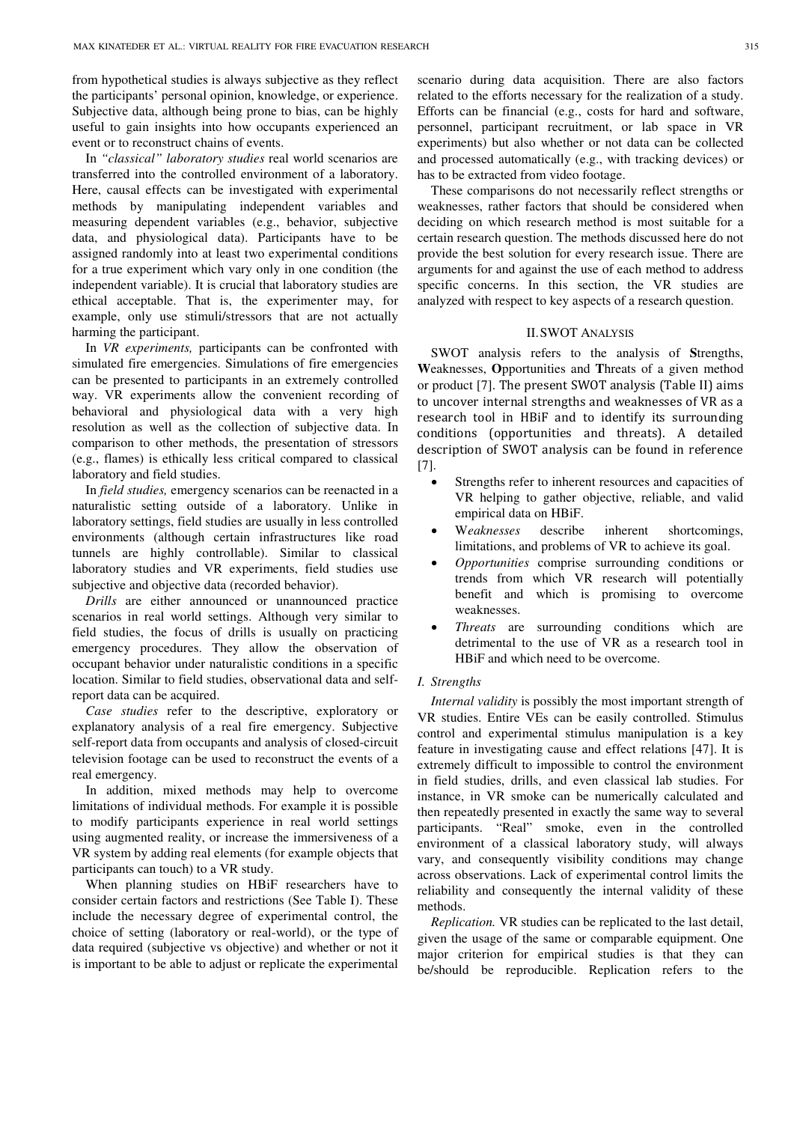from hypothetical studies is always subjective as they reflect the participants' personal opinion, knowledge, or experience. Subjective data, although being prone to bias, can be highly useful to gain insights into how occupants experienced an event or to reconstruct chains of events.

In *"classical" laboratory studies* real world scenarios are transferred into the controlled environment of a laboratory. Here, causal effects can be investigated with experimental methods by manipulating independent variables and measuring dependent variables (e.g., behavior, subjective data, and physiological data). Participants have to be assigned randomly into at least two experimental conditions for a true experiment which vary only in one condition (the independent variable). It is crucial that laboratory studies are ethical acceptable. That is, the experimenter may, for example, only use stimuli/stressors that are not actually harming the participant.

In *VR experiments,* participants can be confronted with simulated fire emergencies. Simulations of fire emergencies can be presented to participants in an extremely controlled way. VR experiments allow the convenient recording of behavioral and physiological data with a very high resolution as well as the collection of subjective data. In comparison to other methods, the presentation of stressors (e.g., flames) is ethically less critical compared to classical laboratory and field studies.

In *field studies,* emergency scenarios can be reenacted in a naturalistic setting outside of a laboratory. Unlike in laboratory settings, field studies are usually in less controlled environments (although certain infrastructures like road tunnels are highly controllable). Similar to classical laboratory studies and VR experiments, field studies use subjective and objective data (recorded behavior).

*Drills* are either announced or unannounced practice scenarios in real world settings. Although very similar to field studies, the focus of drills is usually on practicing emergency procedures. They allow the observation of occupant behavior under naturalistic conditions in a specific location. Similar to field studies, observational data and selfreport data can be acquired.

*Case studies* refer to the descriptive, exploratory or explanatory analysis of a real fire emergency. Subjective self-report data from occupants and analysis of closed-circuit television footage can be used to reconstruct the events of a real emergency.

In addition, mixed methods may help to overcome limitations of individual methods. For example it is possible to modify participants experience in real world settings using augmented reality, or increase the immersiveness of a VR system by adding real elements (for example objects that participants can touch) to a VR study.

When planning studies on HBiF researchers have to consider certain factors and restrictions (See Table I). These include the necessary degree of experimental control, the choice of setting (laboratory or real-world), or the type of data required (subjective vs objective) and whether or not it is important to be able to adjust or replicate the experimental scenario during data acquisition. There are also factors related to the efforts necessary for the realization of a study. Efforts can be financial (e.g., costs for hard and software, personnel, participant recruitment, or lab space in VR experiments) but also whether or not data can be collected and processed automatically (e.g., with tracking devices) or has to be extracted from video footage.

These comparisons do not necessarily reflect strengths or weaknesses, rather factors that should be considered when deciding on which research method is most suitable for a certain research question. The methods discussed here do not provide the best solution for every research issue. There are arguments for and against the use of each method to address specific concerns. In this section, the VR studies are analyzed with respect to key aspects of a research question.

#### II.SWOT ANALYSIS

SWOT analysis refers to the analysis of **S**trengths, **W**eaknesses, **O**pportunities and **T**hreats of a given method or product [7]. The present SWOT analysis (Table II) aims to uncover internal strengths and weaknesses of VR as a research tool in HBiF and to identify its surrounding conditions (opportunities and threats). A detailed description of SWOT analysis can be found in reference [7].

- Strengths refer to inherent resources and capacities of VR helping to gather objective, reliable, and valid empirical data on HBiF.
- W*eaknesses* describe inherent shortcomings, limitations, and problems of VR to achieve its goal.
- *Opportunities* comprise surrounding conditions or trends from which VR research will potentially benefit and which is promising to overcome weaknesses.
- *Threats* are surrounding conditions which are detrimental to the use of VR as a research tool in HBiF and which need to be overcome.

# *I. Strengths*

*Internal validity* is possibly the most important strength of VR studies. Entire VEs can be easily controlled. Stimulus control and experimental stimulus manipulation is a key feature in investigating cause and effect relations [47]. It is extremely difficult to impossible to control the environment in field studies, drills, and even classical lab studies. For instance, in VR smoke can be numerically calculated and then repeatedly presented in exactly the same way to several participants. "Real" smoke, even in the controlled environment of a classical laboratory study, will always vary, and consequently visibility conditions may change across observations. Lack of experimental control limits the reliability and consequently the internal validity of these methods.

*Replication.* VR studies can be replicated to the last detail, given the usage of the same or comparable equipment. One major criterion for empirical studies is that they can be/should be reproducible. Replication refers to the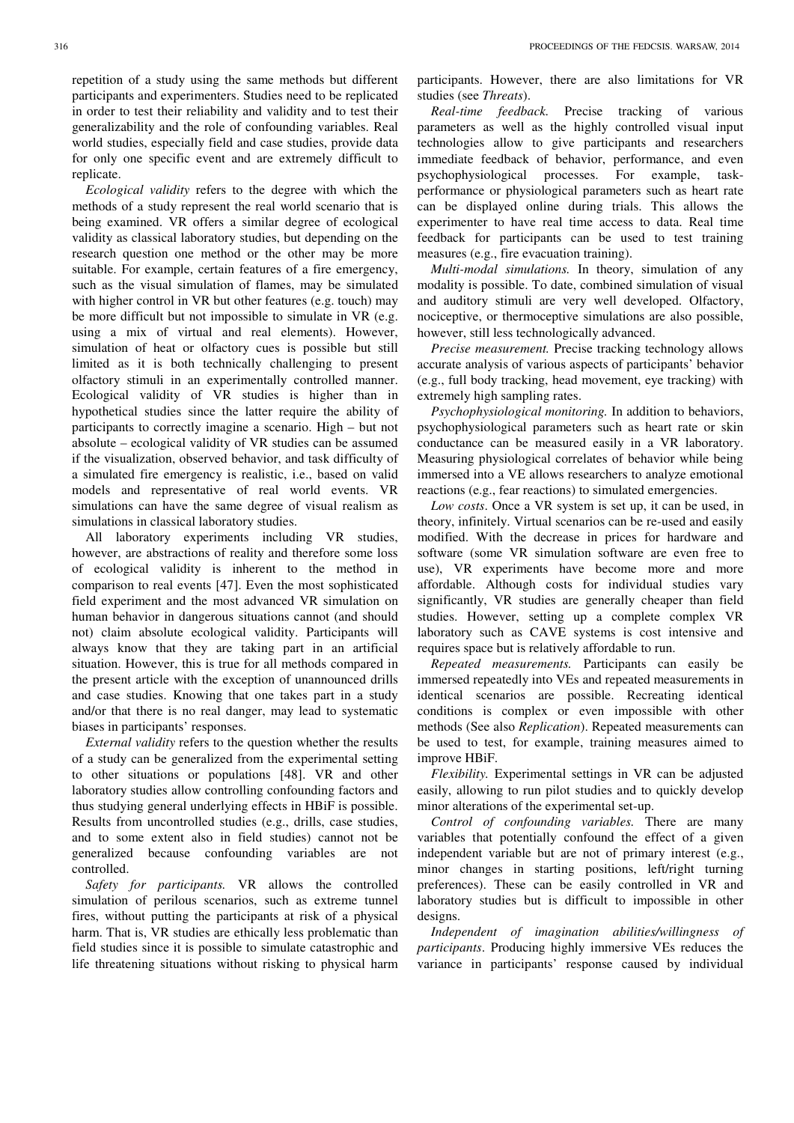repetition of a study using the same methods but different participants and experimenters. Studies need to be replicated in order to test their reliability and validity and to test their generalizability and the role of confounding variables. Real world studies, especially field and case studies, provide data for only one specific event and are extremely difficult to replicate.

*Ecological validity* refers to the degree with which the methods of a study represent the real world scenario that is being examined. VR offers a similar degree of ecological validity as classical laboratory studies, but depending on the research question one method or the other may be more suitable. For example, certain features of a fire emergency, such as the visual simulation of flames, may be simulated with higher control in VR but other features (e.g. touch) may be more difficult but not impossible to simulate in VR (e.g. using a mix of virtual and real elements). However, simulation of heat or olfactory cues is possible but still limited as it is both technically challenging to present olfactory stimuli in an experimentally controlled manner. Ecological validity of VR studies is higher than in hypothetical studies since the latter require the ability of participants to correctly imagine a scenario. High – but not absolute – ecological validity of VR studies can be assumed if the visualization, observed behavior, and task difficulty of a simulated fire emergency is realistic, i.e., based on valid models and representative of real world events. VR simulations can have the same degree of visual realism as simulations in classical laboratory studies.

All laboratory experiments including VR studies, however, are abstractions of reality and therefore some loss of ecological validity is inherent to the method in comparison to real events [47]. Even the most sophisticated field experiment and the most advanced VR simulation on human behavior in dangerous situations cannot (and should not) claim absolute ecological validity. Participants will always know that they are taking part in an artificial situation. However, this is true for all methods compared in the present article with the exception of unannounced drills and case studies. Knowing that one takes part in a study and/or that there is no real danger, may lead to systematic biases in participants' responses.

*External validity* refers to the question whether the results of a study can be generalized from the experimental setting to other situations or populations [48]. VR and other laboratory studies allow controlling confounding factors and thus studying general underlying effects in HBiF is possible. Results from uncontrolled studies (e.g., drills, case studies, and to some extent also in field studies) cannot not be generalized because confounding variables are not controlled.

*Safety for participants.* VR allows the controlled simulation of perilous scenarios, such as extreme tunnel fires, without putting the participants at risk of a physical harm. That is, VR studies are ethically less problematic than field studies since it is possible to simulate catastrophic and life threatening situations without risking to physical harm

participants. However, there are also limitations for VR studies (see *Threats*).

*Real-time feedback.* Precise tracking of various parameters as well as the highly controlled visual input technologies allow to give participants and researchers immediate feedback of behavior, performance, and even psychophysiological processes. For example, taskperformance or physiological parameters such as heart rate can be displayed online during trials. This allows the experimenter to have real time access to data. Real time feedback for participants can be used to test training measures (e.g., fire evacuation training).

*Multi-modal simulations.* In theory, simulation of any modality is possible. To date, combined simulation of visual and auditory stimuli are very well developed. Olfactory, nociceptive, or thermoceptive simulations are also possible, however, still less technologically advanced.

*Precise measurement.* Precise tracking technology allows accurate analysis of various aspects of participants' behavior (e.g., full body tracking, head movement, eye tracking) with extremely high sampling rates.

*Psychophysiological monitoring.* In addition to behaviors, psychophysiological parameters such as heart rate or skin conductance can be measured easily in a VR laboratory. Measuring physiological correlates of behavior while being immersed into a VE allows researchers to analyze emotional reactions (e.g., fear reactions) to simulated emergencies.

*Low costs*. Once a VR system is set up, it can be used, in theory, infinitely. Virtual scenarios can be re-used and easily modified. With the decrease in prices for hardware and software (some VR simulation software are even free to use), VR experiments have become more and more affordable. Although costs for individual studies vary significantly, VR studies are generally cheaper than field studies. However, setting up a complete complex VR laboratory such as CAVE systems is cost intensive and requires space but is relatively affordable to run.

*Repeated measurements.* Participants can easily be immersed repeatedly into VEs and repeated measurements in identical scenarios are possible. Recreating identical conditions is complex or even impossible with other methods (See also *Replication*). Repeated measurements can be used to test, for example, training measures aimed to improve HBiF.

*Flexibility.* Experimental settings in VR can be adjusted easily, allowing to run pilot studies and to quickly develop minor alterations of the experimental set-up.

*Control of confounding variables.* There are many variables that potentially confound the effect of a given independent variable but are not of primary interest (e.g., minor changes in starting positions, left/right turning preferences). These can be easily controlled in VR and laboratory studies but is difficult to impossible in other designs.

*Independent of imagination abilities/willingness of participants*. Producing highly immersive VEs reduces the variance in participants' response caused by individual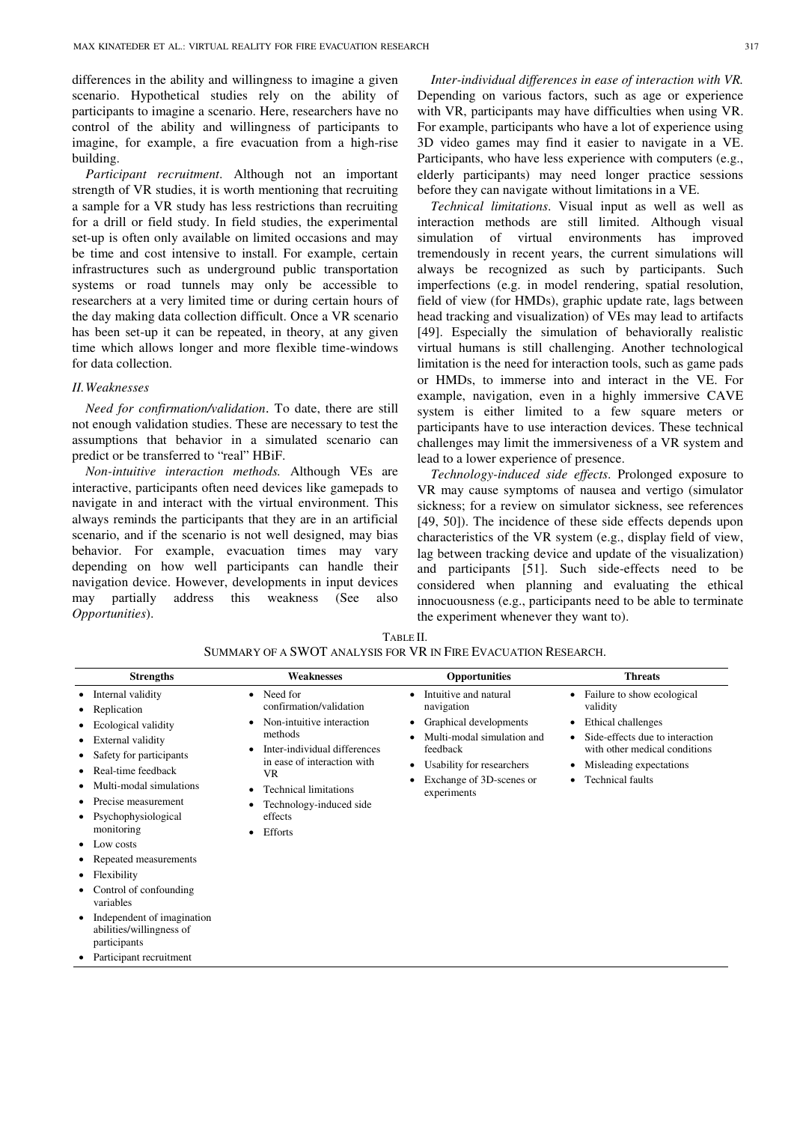differences in the ability and willingness to imagine a given scenario. Hypothetical studies rely on the ability of participants to imagine a scenario. Here, researchers have no control of the ability and willingness of participants to imagine, for example, a fire evacuation from a high-rise building.

*Participant recruitment*. Although not an important strength of VR studies, it is worth mentioning that recruiting a sample for a VR study has less restrictions than recruiting for a drill or field study. In field studies, the experimental set-up is often only available on limited occasions and may be time and cost intensive to install. For example, certain infrastructures such as underground public transportation systems or road tunnels may only be accessible to researchers at a very limited time or during certain hours of the day making data collection difficult. Once a VR scenario has been set-up it can be repeated, in theory, at any given time which allows longer and more flexible time-windows for data collection.

### *II.Weaknesses*

*Need for confirmation/validation*. To date, there are still not enough validation studies. These are necessary to test the assumptions that behavior in a simulated scenario can predict or be transferred to "real" HBiF.

*Non-intuitive interaction methods.* Although VEs are interactive, participants often need devices like gamepads to navigate in and interact with the virtual environment. This always reminds the participants that they are in an artificial scenario, and if the scenario is not well designed, may bias behavior. For example, evacuation times may vary depending on how well participants can handle their navigation device. However, developments in input devices may partially address this weakness (See also *Opportunities*).

*Inter-individual differences in ease of interaction with VR.* Depending on various factors, such as age or experience with VR, participants may have difficulties when using VR. For example, participants who have a lot of experience using 3D video games may find it easier to navigate in a VE. Participants, who have less experience with computers (e.g., elderly participants) may need longer practice sessions before they can navigate without limitations in a VE.

*Technical limitations*. Visual input as well as well as interaction methods are still limited. Although visual simulation of virtual environments has improved tremendously in recent years, the current simulations will always be recognized as such by participants. Such imperfections (e.g. in model rendering, spatial resolution, field of view (for HMDs), graphic update rate, lags between head tracking and visualization) of VEs may lead to artifacts [49]. Especially the simulation of behaviorally realistic virtual humans is still challenging. Another technological limitation is the need for interaction tools, such as game pads or HMDs, to immerse into and interact in the VE. For example, navigation, even in a highly immersive CAVE system is either limited to a few square meters or participants have to use interaction devices. These technical challenges may limit the immersiveness of a VR system and lead to a lower experience of presence.

*Technology-induced side effects*. Prolonged exposure to VR may cause symptoms of nausea and vertigo (simulator sickness; for a review on simulator sickness, see references [49, 50]). The incidence of these side effects depends upon characteristics of the VR system (e.g., display field of view, lag between tracking device and update of the visualization) and participants [51]. Such side-effects need to be considered when planning and evaluating the ethical innocuousness (e.g., participants need to be able to terminate the experiment whenever they want to).

| <b>Strengths</b>                                                                                                                                                                                                                                                                                                                                                                                                                                                                                                                    | Weaknesses                                                                                                                                                                                                                                 | <b>Opportunities</b>                                                                                                                                                                         | <b>Threats</b>                                                                                                                                                                                                                             |
|-------------------------------------------------------------------------------------------------------------------------------------------------------------------------------------------------------------------------------------------------------------------------------------------------------------------------------------------------------------------------------------------------------------------------------------------------------------------------------------------------------------------------------------|--------------------------------------------------------------------------------------------------------------------------------------------------------------------------------------------------------------------------------------------|----------------------------------------------------------------------------------------------------------------------------------------------------------------------------------------------|--------------------------------------------------------------------------------------------------------------------------------------------------------------------------------------------------------------------------------------------|
| Internal validity<br>٠<br>Replication<br>٠<br>Ecological validity<br>$\bullet$<br>External validity<br>٠<br>Safety for participants<br>$\bullet$<br>Real-time feedback<br>$\bullet$<br>Multi-modal simulations<br>٠<br>Precise measurement<br>٠<br>Psychophysiological<br>٠<br>monitoring<br>Low costs<br>٠<br>Repeated measurements<br>٠<br>Flexibility<br>$\bullet$<br>Control of confounding<br>٠<br>variables<br>Independent of imagination<br>$\bullet$<br>abilities/willingness of<br>participants<br>Participant recruitment | • Need for<br>confirmation/validation<br>Non-intuitive interaction<br>methods<br>Inter-individual differences<br>in ease of interaction with<br><b>VR</b><br><b>Technical limitations</b><br>Technology-induced side<br>effects<br>Efforts | Intuitive and natural<br>navigation<br>Graphical developments<br>Multi-modal simulation and<br>feedback<br>Usability for researchers<br>$\bullet$<br>Exchange of 3D-scenes or<br>experiments | Failure to show ecological<br>$\bullet$<br>validity<br>Ethical challenges<br>$\bullet$<br>Side-effects due to interaction<br>with other medical conditions<br>Misleading expectations<br>$\bullet$<br><b>Technical faults</b><br>$\bullet$ |

TABLE II. SUMMARY OF A SWOT ANALYSIS FOR VR IN FIRE EVACUATION RESEARCH.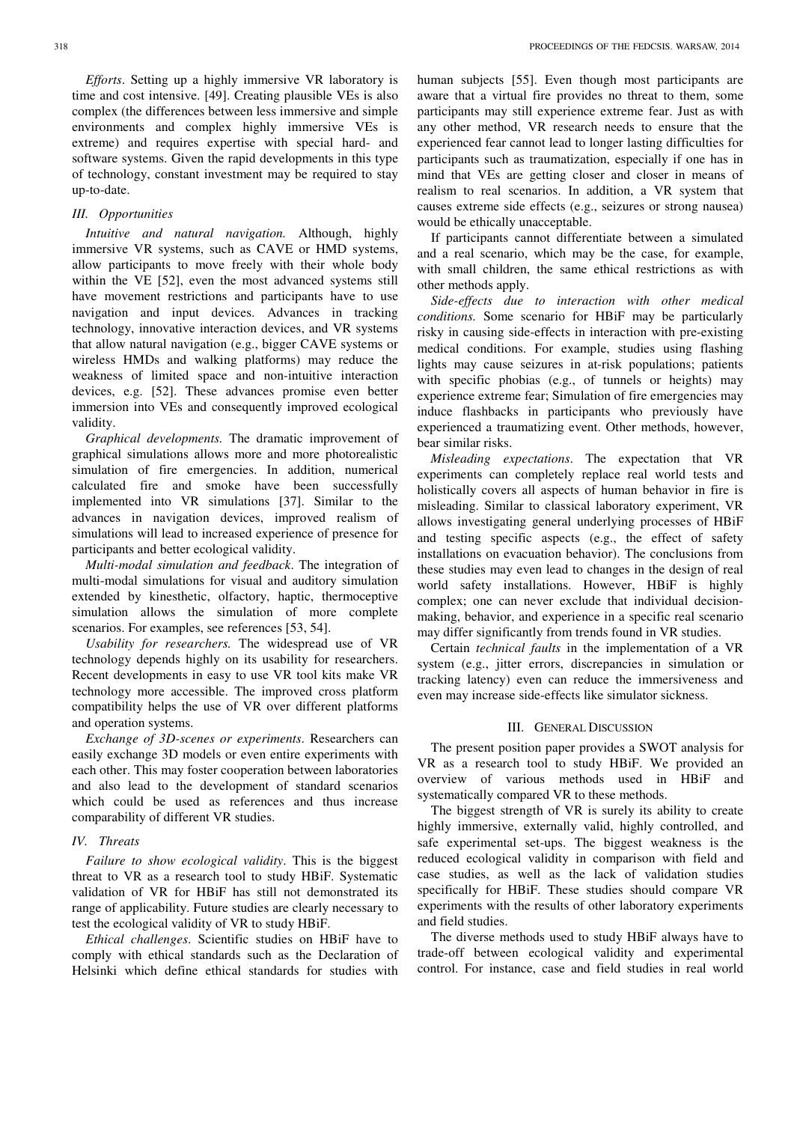*Efforts*. Setting up a highly immersive VR laboratory is time and cost intensive. [49]. Creating plausible VEs is also complex (the differences between less immersive and simple environments and complex highly immersive VEs is extreme) and requires expertise with special hard- and software systems. Given the rapid developments in this type of technology, constant investment may be required to stay up-to-date.

# *III. Opportunities*

*Intuitive and natural navigation.* Although, highly immersive VR systems, such as CAVE or HMD systems, allow participants to move freely with their whole body within the VE [52], even the most advanced systems still have movement restrictions and participants have to use navigation and input devices. Advances in tracking technology, innovative interaction devices, and VR systems that allow natural navigation (e.g., bigger CAVE systems or wireless HMDs and walking platforms) may reduce the weakness of limited space and non-intuitive interaction devices, e.g. [52]. These advances promise even better immersion into VEs and consequently improved ecological validity.

*Graphical developments.* The dramatic improvement of graphical simulations allows more and more photorealistic simulation of fire emergencies. In addition, numerical calculated fire and smoke have been successfully implemented into VR simulations [37]. Similar to the advances in navigation devices, improved realism of simulations will lead to increased experience of presence for participants and better ecological validity.

*Multi-modal simulation and feedback*. The integration of multi-modal simulations for visual and auditory simulation extended by kinesthetic, olfactory, haptic, thermoceptive simulation allows the simulation of more complete scenarios. For examples, see references [53, 54].

*Usability for researchers.* The widespread use of VR technology depends highly on its usability for researchers. Recent developments in easy to use VR tool kits make VR technology more accessible. The improved cross platform compatibility helps the use of VR over different platforms and operation systems.

*Exchange of 3D-scenes or experiments*. Researchers can easily exchange 3D models or even entire experiments with each other. This may foster cooperation between laboratories and also lead to the development of standard scenarios which could be used as references and thus increase comparability of different VR studies.

# *IV. Threats*

*Failure to show ecological validity*. This is the biggest threat to VR as a research tool to study HBiF. Systematic validation of VR for HBiF has still not demonstrated its range of applicability. Future studies are clearly necessary to test the ecological validity of VR to study HBiF.

*Ethical challenges*. Scientific studies on HBiF have to comply with ethical standards such as the Declaration of Helsinki which define ethical standards for studies with

human subjects [55]. Even though most participants are aware that a virtual fire provides no threat to them, some participants may still experience extreme fear. Just as with any other method, VR research needs to ensure that the experienced fear cannot lead to longer lasting difficulties for participants such as traumatization, especially if one has in mind that VEs are getting closer and closer in means of realism to real scenarios. In addition, a VR system that causes extreme side effects (e.g., seizures or strong nausea) would be ethically unacceptable.

If participants cannot differentiate between a simulated and a real scenario, which may be the case, for example, with small children, the same ethical restrictions as with other methods apply.

*Side-effects due to interaction with other medical conditions.* Some scenario for HBiF may be particularly risky in causing side-effects in interaction with pre-existing medical conditions. For example, studies using flashing lights may cause seizures in at-risk populations; patients with specific phobias (e.g., of tunnels or heights) may experience extreme fear; Simulation of fire emergencies may induce flashbacks in participants who previously have experienced a traumatizing event. Other methods, however, bear similar risks.

*Misleading expectations*. The expectation that VR experiments can completely replace real world tests and holistically covers all aspects of human behavior in fire is misleading. Similar to classical laboratory experiment, VR allows investigating general underlying processes of HBiF and testing specific aspects (e.g., the effect of safety installations on evacuation behavior). The conclusions from these studies may even lead to changes in the design of real world safety installations. However, HBiF is highly complex; one can never exclude that individual decisionmaking, behavior, and experience in a specific real scenario may differ significantly from trends found in VR studies.

Certain *technical faults* in the implementation of a VR system (e.g., jitter errors, discrepancies in simulation or tracking latency) even can reduce the immersiveness and even may increase side-effects like simulator sickness.

### III. GENERAL DISCUSSION

The present position paper provides a SWOT analysis for VR as a research tool to study HBiF. We provided an overview of various methods used in HBiF and systematically compared VR to these methods.

The biggest strength of VR is surely its ability to create highly immersive, externally valid, highly controlled, and safe experimental set-ups. The biggest weakness is the reduced ecological validity in comparison with field and case studies, as well as the lack of validation studies specifically for HBiF. These studies should compare VR experiments with the results of other laboratory experiments and field studies.

The diverse methods used to study HBiF always have to trade-off between ecological validity and experimental control. For instance, case and field studies in real world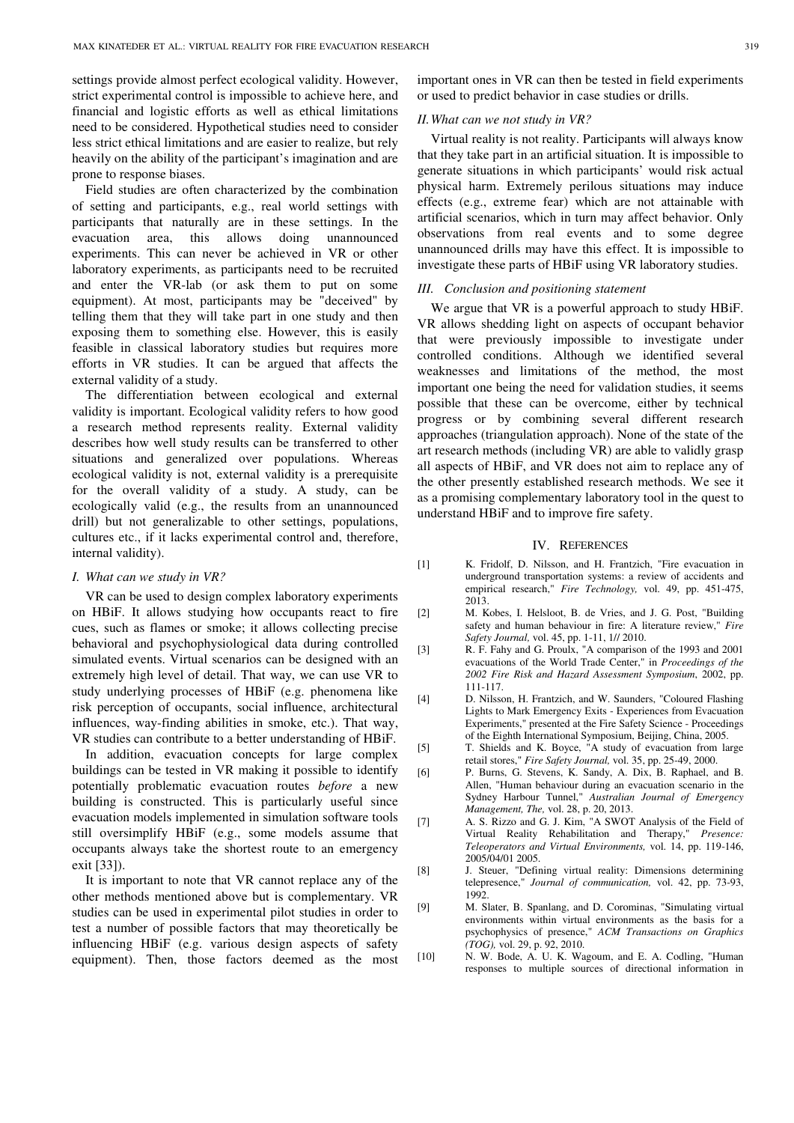settings provide almost perfect ecological validity. However, strict experimental control is impossible to achieve here, and financial and logistic efforts as well as ethical limitations need to be considered. Hypothetical studies need to consider less strict ethical limitations and are easier to realize, but rely heavily on the ability of the participant's imagination and are prone to response biases.

Field studies are often characterized by the combination of setting and participants, e.g., real world settings with participants that naturally are in these settings. In the evacuation area, this allows doing unannounced experiments. This can never be achieved in VR or other laboratory experiments, as participants need to be recruited and enter the VR-lab (or ask them to put on some equipment). At most, participants may be "deceived" by telling them that they will take part in one study and then exposing them to something else. However, this is easily feasible in classical laboratory studies but requires more efforts in VR studies. It can be argued that affects the external validity of a study.

The differentiation between ecological and external validity is important. Ecological validity refers to how good a research method represents reality. External validity describes how well study results can be transferred to other situations and generalized over populations. Whereas ecological validity is not, external validity is a prerequisite for the overall validity of a study. A study, can be ecologically valid (e.g., the results from an unannounced drill) but not generalizable to other settings, populations, cultures etc., if it lacks experimental control and, therefore, internal validity).

#### *I. What can we study in VR?*

VR can be used to design complex laboratory experiments on HBiF. It allows studying how occupants react to fire cues, such as flames or smoke; it allows collecting precise behavioral and psychophysiological data during controlled simulated events. Virtual scenarios can be designed with an extremely high level of detail. That way, we can use VR to study underlying processes of HBiF (e.g. phenomena like risk perception of occupants, social influence, architectural influences, way-finding abilities in smoke, etc.). That way, VR studies can contribute to a better understanding of HBiF.

In addition, evacuation concepts for large complex buildings can be tested in VR making it possible to identify potentially problematic evacuation routes *before* a new building is constructed. This is particularly useful since evacuation models implemented in simulation software tools still oversimplify HBiF (e.g., some models assume that occupants always take the shortest route to an emergency exit [33]).

It is important to note that VR cannot replace any of the other methods mentioned above but is complementary. VR studies can be used in experimental pilot studies in order to test a number of possible factors that may theoretically be influencing HBiF (e.g. various design aspects of safety equipment). Then, those factors deemed as the most important ones in VR can then be tested in field experiments or used to predict behavior in case studies or drills.

#### *II.What can we not study in VR?*

Virtual reality is not reality. Participants will always know that they take part in an artificial situation. It is impossible to generate situations in which participants' would risk actual physical harm. Extremely perilous situations may induce effects (e.g., extreme fear) which are not attainable with artificial scenarios, which in turn may affect behavior. Only observations from real events and to some degree unannounced drills may have this effect. It is impossible to investigate these parts of HBiF using VR laboratory studies.

#### *III. Conclusion and positioning statement*

We argue that VR is a powerful approach to study HBiF. VR allows shedding light on aspects of occupant behavior that were previously impossible to investigate under controlled conditions. Although we identified several weaknesses and limitations of the method, the most important one being the need for validation studies, it seems possible that these can be overcome, either by technical progress or by combining several different research approaches (triangulation approach). None of the state of the art research methods (including VR) are able to validly grasp all aspects of HBiF, and VR does not aim to replace any of the other presently established research methods. We see it as a promising complementary laboratory tool in the quest to understand HBiF and to improve fire safety.

#### IV. REFERENCES

- [1] K. Fridolf, D. Nilsson, and H. Frantzich, "Fire evacuation in underground transportation systems: a review of accidents and empirical research," *Fire Technology,* vol. 49, pp. 451-475, 2013.
- [2] M. Kobes, I. Helsloot, B. de Vries, and J. G. Post, "Building safety and human behaviour in fire: A literature review," *Fire Safety Journal,* vol. 45, pp. 1-11, 1// 2010.
- [3] R. F. Fahy and G. Proulx, "A comparison of the 1993 and 2001 evacuations of the World Trade Center," in *Proceedings of the 2002 Fire Risk and Hazard Assessment Symposium*, 2002, pp. 111-117.
- [4] D. Nilsson, H. Frantzich, and W. Saunders, "Coloured Flashing Lights to Mark Emergency Exits - Experiences from Evacuation Experiments," presented at the Fire Safety Science - Proceedings of the Eighth International Symposium, Beijing, China, 2005.
- [5] T. Shields and K. Boyce, "A study of evacuation from large retail stores," *Fire Safety Journal,* vol. 35, pp. 25-49, 2000.
- [6] P. Burns, G. Stevens, K. Sandy, A. Dix, B. Raphael, and B. Allen, "Human behaviour during an evacuation scenario in the Sydney Harbour Tunnel," *Australian Journal of Emergency Management, The,* vol. 28, p. 20, 2013.
- [7] A. S. Rizzo and G. J. Kim, "A SWOT Analysis of the Field of Virtual Reality Rehabilitation and Therapy," *Presence: Teleoperators and Virtual Environments,* vol. 14, pp. 119-146, 2005/04/01 2005.
- [8] J. Steuer, "Defining virtual reality: Dimensions determining telepresence," *Journal of communication,* vol. 42, pp. 73-93, 1992.
- [9] M. Slater, B. Spanlang, and D. Corominas, "Simulating virtual environments within virtual environments as the basis for a psychophysics of presence," *ACM Transactions on Graphics (TOG),* vol. 29, p. 92, 2010.
- [10] N. W. Bode, A. U. K. Wagoum, and E. A. Codling, "Human responses to multiple sources of directional information in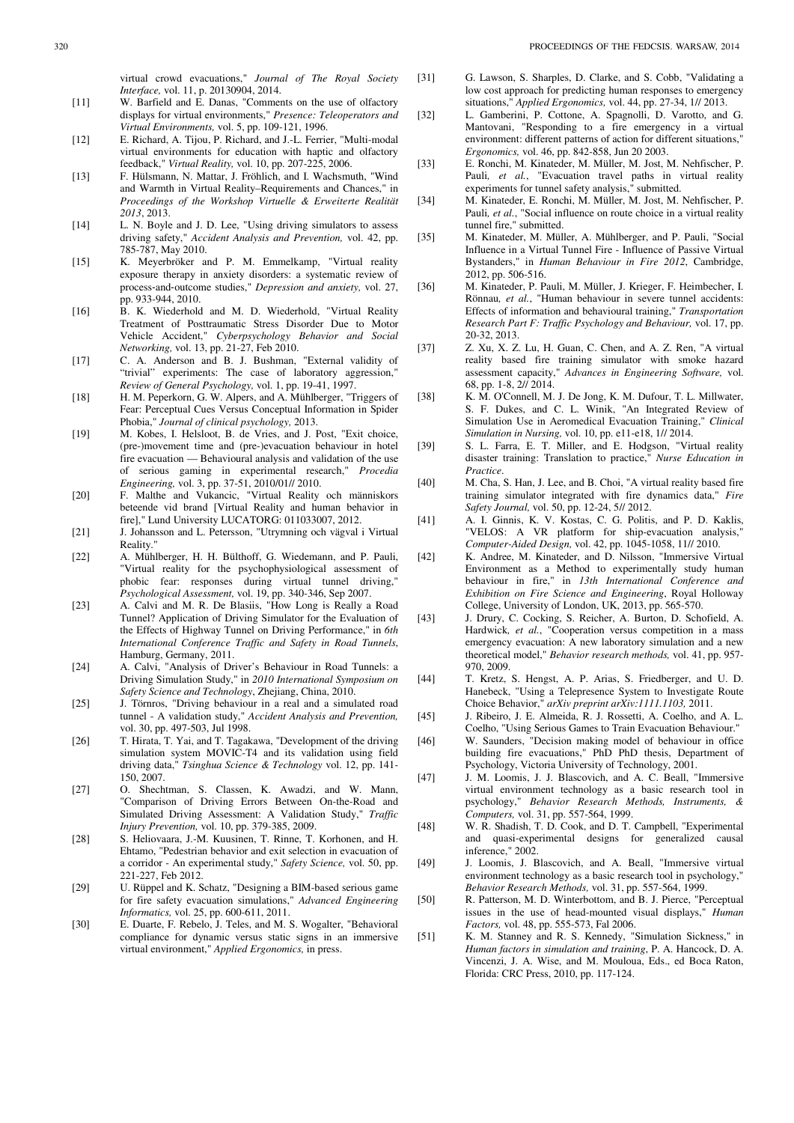virtual crowd evacuations," *Journal of The Royal Society Interface,* vol. 11, p. 20130904, 2014.

- [11] W. Barfield and E. Danas, "Comments on the use of olfactory displays for virtual environments," *Presence: Teleoperators and Virtual Environments,* vol. 5, pp. 109-121, 1996.
- [12] E. Richard, A. Tijou, P. Richard, and J.-L. Ferrier, "Multi-modal virtual environments for education with haptic and olfactory feedback," *Virtual Reality,* vol. 10, pp. 207-225, 2006.
- [13] F. Hülsmann, N. Mattar, J. Fröhlich, and I. Wachsmuth, "Wind and Warmth in Virtual Reality–Requirements and Chances," in *Proceedings of the Workshop Virtuelle & Erweiterte Realität 2013*, 2013.
- [14] L. N. Boyle and J. D. Lee, "Using driving simulators to assess driving safety," *Accident Analysis and Prevention,* vol. 42, pp. 785-787, May 2010.
- [15] K. Meyerbröker and P. M. Emmelkamp, "Virtual reality exposure therapy in anxiety disorders: a systematic review of process‐and‐outcome studies," *Depression and anxiety,* vol. 27, pp. 933-944, 2010.
- [16] B. K. Wiederhold and M. D. Wiederhold, "Virtual Reality Treatment of Posttraumatic Stress Disorder Due to Motor Vehicle Accident," *Cyberpsychology Behavior and Social Networking,* vol. 13, pp. 21-27, Feb 2010.
- [17] C. A. Anderson and B. J. Bushman, "External validity of "trivial" experiments: The case of laboratory aggression," *Review of General Psychology,* vol. 1, pp. 19-41, 1997.
- [18] H. M. Peperkorn, G. W. Alpers, and A. Mühlberger, "Triggers of Fear: Perceptual Cues Versus Conceptual Information in Spider Phobia," *Journal of clinical psychology,* 2013.
- [19] M. Kobes, I. Helsloot, B. de Vries, and J. Post, "Exit choice, (pre-)movement time and (pre-)evacuation behaviour in hotel fire evacuation — Behavioural analysis and validation of the use of serious gaming in experimental research," *Procedia Engineering,* vol. 3, pp. 37-51, 2010/01// 2010.
- [20] F. Malthe and Vukancic, "Virtual Reality och människors beteende vid brand [Virtual Reality and human behavior in fire]," Lund University LUCATORG: 011033007, 2012.
- [21] J. Johansson and L. Petersson, "Utrymning och vägval i Virtual Reality."
- [22] A. Mühlberger, H. H. Bülthoff, G. Wiedemann, and P. Pauli, "Virtual reality for the psychophysiological assessment of phobic fear: responses during virtual tunnel driving," *Psychological Assessment,* vol. 19, pp. 340-346, Sep 2007.
- [23] A. Calvi and M. R. De Blasiis, "How Long is Really a Road Tunnel? Application of Driving Simulator for the Evaluation of the Effects of Highway Tunnel on Driving Performance," in *6th International Conference Traffic and Safety in Road Tunnels*, Hamburg, Germany, 2011.
- [24] A. Calvi, "Analysis of Driver's Behaviour in Road Tunnels: a Driving Simulation Study," in *2010 International Symposium on Safety Science and Technology*, Zhejiang, China, 2010.
- [25] J. Törnros, "Driving behaviour in a real and a simulated road tunnel - A validation study," *Accident Analysis and Prevention,*  vol. 30, pp. 497-503, Jul 1998.
- [26] T. Hirata, T. Yai, and T. Tagakawa, "Development of the driving simulation system MOVIC-T4 and its validation using field driving data," *Tsinghua Science & Technology* vol. 12, pp. 141- 150, 2007.
- [27] O. Shechtman, S. Classen, K. Awadzi, and W. Mann, "Comparison of Driving Errors Between On-the-Road and Simulated Driving Assessment: A Validation Study," *Traffic Injury Prevention,* vol. 10, pp. 379-385, 2009.
- [28] S. Heliovaara, J.-M. Kuusinen, T. Rinne, T. Korhonen, and H. Ehtamo, "Pedestrian behavior and exit selection in evacuation of a corridor - An experimental study," *Safety Science,* vol. 50, pp. 221-227, Feb 2012.
- [29] U. Rüppel and K. Schatz, "Designing a BIM-based serious game for fire safety evacuation simulations," *Advanced Engineering Informatics,* vol. 25, pp. 600-611, 2011.
- [30] E. Duarte, F. Rebelo, J. Teles, and M. S. Wogalter, "Behavioral compliance for dynamic versus static signs in an immersive virtual environment," *Applied Ergonomics,* in press.
- [31] G. Lawson, S. Sharples, D. Clarke, and S. Cobb, "Validating a low cost approach for predicting human responses to emergency situations," *Applied Ergonomics,* vol. 44, pp. 27-34, 1// 2013.
- [32] L. Gamberini, P. Cottone, A. Spagnolli, D. Varotto, and G. Mantovani, "Responding to a fire emergency in a virtual environment: different patterns of action for different situations," *Ergonomics,* vol. 46, pp. 842-858, Jun 20 2003.
- [33] E. Ronchi, M. Kinateder, M. Müller, M. Jost, M. Nehfischer, P. Pauli*, et al.*, "Evacuation travel paths in virtual reality experiments for tunnel safety analysis," submitted.
- [34] M. Kinateder, E. Ronchi, M. Müller, M. Jost, M. Nehfischer, P. Pauli*, et al.*, "Social influence on route choice in a virtual reality tunnel fire," submitted.
- [35] M. Kinateder, M. Müller, A. Mühlberger, and P. Pauli, "Social Influence in a Virtual Tunnel Fire - Influence of Passive Virtual Bystanders," in *Human Behaviour in Fire 2012*, Cambridge, 2012, pp. 506-516.
- [36] M. Kinateder, P. Pauli, M. Müller, J. Krieger, F. Heimbecher, I. Rönnau*, et al.*, "Human behaviour in severe tunnel accidents: Effects of information and behavioural training," *Transportation Research Part F: Traffic Psychology and Behaviour,* vol. 17, pp. 20-32, 2013.
- [37] Z. Xu, X. Z. Lu, H. Guan, C. Chen, and A. Z. Ren, "A virtual reality based fire training simulator with smoke hazard assessment capacity," *Advances in Engineering Software,* vol. 68, pp. 1-8, 2// 2014.
- [38] K. M. O'Connell, M. J. De Jong, K. M. Dufour, T. L. Millwater, S. F. Dukes, and C. L. Winik, "An Integrated Review of Simulation Use in Aeromedical Evacuation Training," *Clinical Simulation in Nursing,* vol. 10, pp. e11-e18, 1// 2014.
- [39] S. L. Farra, E. T. Miller, and E. Hodgson, "Virtual reality disaster training: Translation to practice," *Nurse Education in Practice*.
- [40] M. Cha, S. Han, J. Lee, and B. Choi, "A virtual reality based fire training simulator integrated with fire dynamics data," *Fire Safety Journal,* vol. 50, pp. 12-24, 5// 2012.
- [41] A. I. Ginnis, K. V. Kostas, C. G. Politis, and P. D. Kaklis, "VELOS: A VR platform for ship-evacuation analysis," *Computer-Aided Design,* vol. 42, pp. 1045-1058, 11// 2010.
- [42] K. Andree, M. Kinateder, and D. Nilsson, "Immersive Virtual Environment as a Method to experimentally study human behaviour in fire," in *13th International Conference and Exhibition on Fire Science and Engineering*, Royal Holloway College, University of London, UK, 2013, pp. 565-570.
- [43] J. Drury, C. Cocking, S. Reicher, A. Burton, D. Schofield, A. Hardwick, et al., "Cooperation versus competition in a mass emergency evacuation: A new laboratory simulation and a new theoretical model," *Behavior research methods,* vol. 41, pp. 957- 970, 2009.
- [44] T. Kretz, S. Hengst, A. P. Arias, S. Friedberger, and U. D. Hanebeck, "Using a Telepresence System to Investigate Route Choice Behavior," *arXiv preprint arXiv:1111.1103,* 2011.
- [45] J. Ribeiro, J. E. Almeida, R. J. Rossetti, A. Coelho, and A. L. Coelho, "Using Serious Games to Train Evacuation Behaviour."
- [46] W. Saunders, "Decision making model of behaviour in office building fire evacuations," PhD PhD thesis, Department of Psychology, Victoria University of Technology, 2001.
- [47] J. M. Loomis, J. J. Blascovich, and A. C. Beall, "Immersive virtual environment technology as a basic research tool in psychology," *Behavior Research Methods, Instruments, & Computers,* vol. 31, pp. 557-564, 1999.
- [48] W. R. Shadish, T. D. Cook, and D. T. Campbell, "Experimental and quasi-experimental designs for generalized causal inference," 2002.
- [49] J. Loomis, J. Blascovich, and A. Beall, "Immersive virtual environment technology as a basic research tool in psychology," *Behavior Research Methods,* vol. 31, pp. 557-564, 1999.
- [50] R. Patterson, M. D. Winterbottom, and B. J. Pierce, "Perceptual issues in the use of head-mounted visual displays," *Human Factors,* vol. 48, pp. 555-573, Fal 2006.
- [51] K. M. Stanney and R. S. Kennedy, "Simulation Sickness," in *Human factors in simulation and training*, P. A. Hancock, D. A. Vincenzi, J. A. Wise, and M. Mouloua, Eds., ed Boca Raton, Florida: CRC Press, 2010, pp. 117-124.